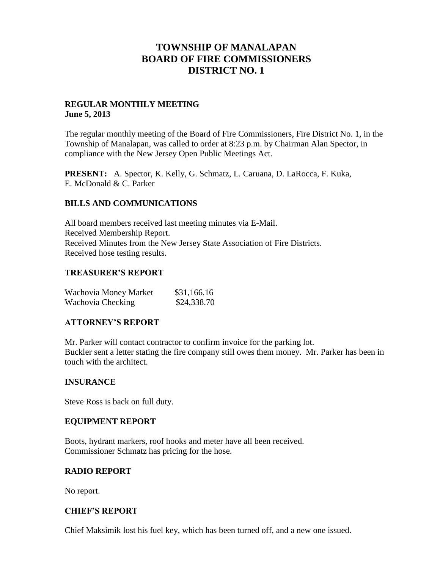## **TOWNSHIP OF MANALAPAN BOARD OF FIRE COMMISSIONERS DISTRICT NO. 1**

## **REGULAR MONTHLY MEETING June 5, 2013**

The regular monthly meeting of the Board of Fire Commissioners, Fire District No. 1, in the Township of Manalapan, was called to order at 8:23 p.m. by Chairman Alan Spector, in compliance with the New Jersey Open Public Meetings Act.

**PRESENT:** A. Spector, K. Kelly, G. Schmatz, L. Caruana, D. LaRocca, F. Kuka, E. McDonald & C. Parker

## **BILLS AND COMMUNICATIONS**

All board members received last meeting minutes via E-Mail. Received Membership Report. Received Minutes from the New Jersey State Association of Fire Districts. Received hose testing results.

### **TREASURER'S REPORT**

| Wachovia Money Market | \$31,166.16 |
|-----------------------|-------------|
| Wachovia Checking     | \$24,338.70 |

### **ATTORNEY'S REPORT**

Mr. Parker will contact contractor to confirm invoice for the parking lot. Buckler sent a letter stating the fire company still owes them money. Mr. Parker has been in touch with the architect.

### **INSURANCE**

Steve Ross is back on full duty.

### **EQUIPMENT REPORT**

Boots, hydrant markers, roof hooks and meter have all been received. Commissioner Schmatz has pricing for the hose.

### **RADIO REPORT**

No report.

### **CHIEF'S REPORT**

Chief Maksimik lost his fuel key, which has been turned off, and a new one issued.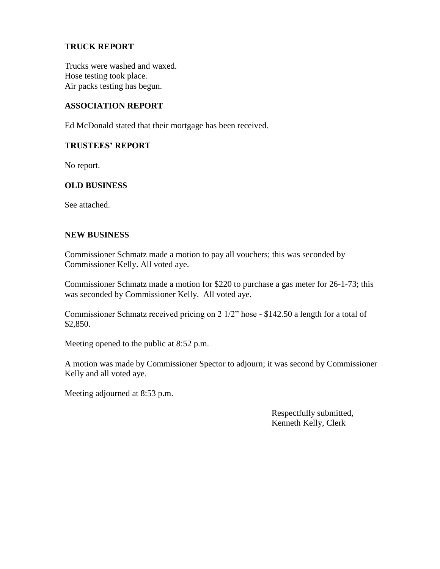## **TRUCK REPORT**

Trucks were washed and waxed. Hose testing took place. Air packs testing has begun.

## **ASSOCIATION REPORT**

Ed McDonald stated that their mortgage has been received.

## **TRUSTEES' REPORT**

No report.

## **OLD BUSINESS**

See attached.

### **NEW BUSINESS**

Commissioner Schmatz made a motion to pay all vouchers; this was seconded by Commissioner Kelly. All voted aye.

Commissioner Schmatz made a motion for \$220 to purchase a gas meter for 26-1-73; this was seconded by Commissioner Kelly. All voted aye.

Commissioner Schmatz received pricing on 2 1/2" hose - \$142.50 a length for a total of \$2,850.

Meeting opened to the public at 8:52 p.m.

A motion was made by Commissioner Spector to adjourn; it was second by Commissioner Kelly and all voted aye.

Meeting adjourned at 8:53 p.m.

 Respectfully submitted, Kenneth Kelly, Clerk